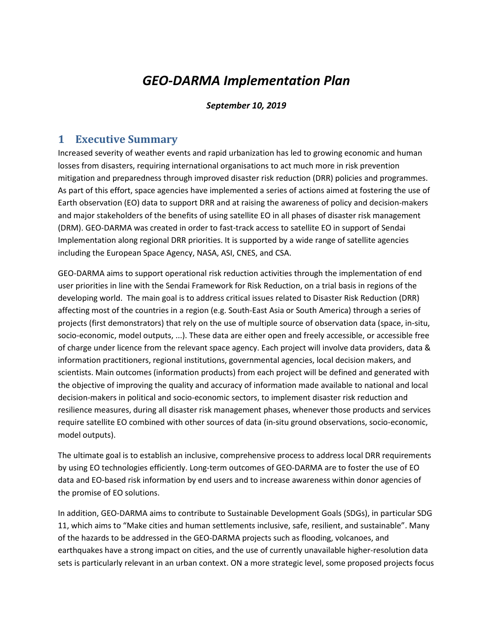# *GEO-DARMA Implementation Plan*

#### *September 10, 2019*

### **1 Executive Summary**

Increased severity of weather events and rapid urbanization has led to growing economic and human losses from disasters, requiring international organisations to act much more in risk prevention mitigation and preparedness through improved disaster risk reduction (DRR) policies and programmes. As part of this effort, space agencies have implemented a series of actions aimed at fostering the use of Earth observation (EO) data to support DRR and at raising the awareness of policy and decision-makers and major stakeholders of the benefits of using satellite EO in all phases of disaster risk management (DRM). GEO-DARMA was created in order to fast-track access to satellite EO in support of Sendai Implementation along regional DRR priorities. It is supported by a wide range of satellite agencies including the European Space Agency, NASA, ASI, CNES, and CSA.

GEO-DARMA aims to support operational risk reduction activities through the implementation of end user priorities in line with the Sendai Framework for Risk Reduction, on a trial basis in regions of the developing world. The main goal is to address critical issues related to Disaster Risk Reduction (DRR) affecting most of the countries in a region (e.g. South-East Asia or South America) through a series of projects (first demonstrators) that rely on the use of multiple source of observation data (space, in-situ, socio-economic, model outputs, ...). These data are either open and freely accessible, or accessible free of charge under licence from the relevant space agency. Each project will involve data providers, data & information practitioners, regional institutions, governmental agencies, local decision makers, and scientists. Main outcomes (information products) from each project will be defined and generated with the objective of improving the quality and accuracy of information made available to national and local decision-makers in political and socio-economic sectors, to implement disaster risk reduction and resilience measures, during all disaster risk management phases, whenever those products and services require satellite EO combined with other sources of data (in-situ ground observations, socio-economic, model outputs).

The ultimate goal is to establish an inclusive, comprehensive process to address local DRR requirements by using EO technologies efficiently. Long-term outcomes of GEO-DARMA are to foster the use of EO data and EO-based risk information by end users and to increase awareness within donor agencies of the promise of EO solutions.

In addition, GEO-DARMA aims to contribute to Sustainable Development Goals (SDGs), in particular SDG 11, which aims to "Make cities and human settlements inclusive, safe, resilient, and sustainable". Many of the hazards to be addressed in the GEO-DARMA projects such as flooding, volcanoes, and earthquakes have a strong impact on cities, and the use of currently unavailable higher-resolution data sets is particularly relevant in an urban context. ON a more strategic level, some proposed projects focus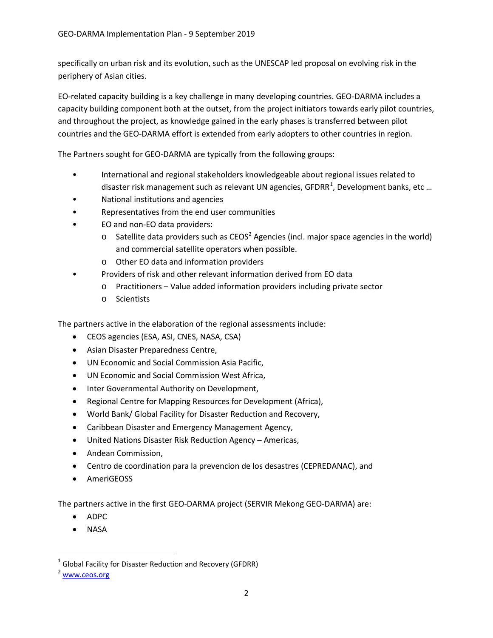specifically on urban risk and its evolution, such as the UNESCAP led proposal on evolving risk in the periphery of Asian cities.

EO-related capacity building is a key challenge in many developing countries. GEO-DARMA includes a capacity building component both at the outset, from the project initiators towards early pilot countries, and throughout the project, as knowledge gained in the early phases is transferred between pilot countries and the GEO-DARMA effort is extended from early adopters to other countries in region.

The Partners sought for GEO-DARMA are typically from the following groups:

- International and regional stakeholders knowledgeable about regional issues related to disaster risk management such as relevant UN agencies, GFDRR<sup>[1](#page-1-0)</sup>, Development banks, etc ...
- National institutions and agencies
- Representatives from the end user communities
- EO and non-EO data providers:
	- $\circ$  Satellite data providers such as CEOS<sup>[2](#page-1-1)</sup> Agencies (incl. major space agencies in the world) and commercial satellite operators when possible.
	- o Other EO data and information providers
- Providers of risk and other relevant information derived from EO data
	- o Practitioners Value added information providers including private sector
	- o Scientists

The partners active in the elaboration of the regional assessments include:

- CEOS agencies (ESA, ASI, CNES, NASA, CSA)
- Asian Disaster Preparedness Centre,
- UN Economic and Social Commission Asia Pacific,
- UN Economic and Social Commission West Africa,
- Inter Governmental Authority on Development,
- Regional Centre for Mapping Resources for Development (Africa),
- World Bank/ Global Facility for Disaster Reduction and Recovery,
- Caribbean Disaster and Emergency Management Agency,
- United Nations Disaster Risk Reduction Agency Americas,
- Andean Commission,
- Centro de coordination para la prevencion de los desastres (CEPREDANAC), and
- AmeriGEOSS

The partners active in the first GEO-DARMA project (SERVIR Mekong GEO-DARMA) are:

- ADPC
- NASA

<span id="page-1-0"></span> $1$  Global Facility for Disaster Reduction and Recovery (GFDRR)

<span id="page-1-1"></span><sup>2</sup> [www.ceos.org](http://www.ceos.org/)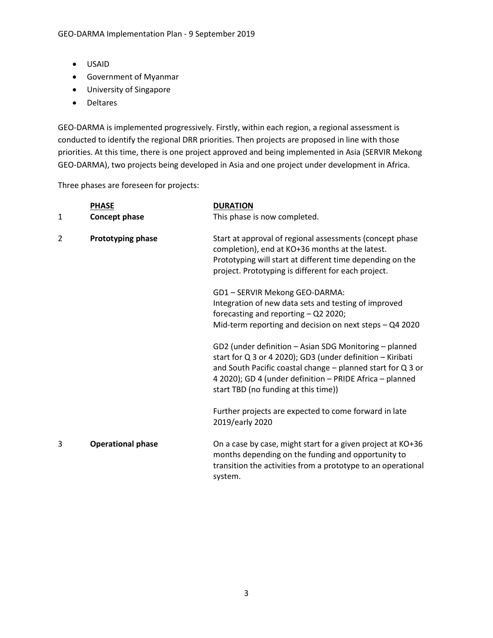- USAID
- Government of Myanmar
- University of Singapore
- Deltares

GEO-DARMA is implemented progressively. Firstly, within each region, a regional assessment is conducted to identify the regional DRR priorities. Then projects are proposed in line with those priorities. At this time, there is one project approved and being implemented in Asia (SERVIR Mekong GEO-DARMA), two projects being developed in Asia and one project under development in Africa.

Three phases are foreseen for projects:

| 1 | <b>PHASE</b><br>Concept phase | <b>DURATION</b><br>This phase is now completed.                                                                                                                                                                                                                                         |
|---|-------------------------------|-----------------------------------------------------------------------------------------------------------------------------------------------------------------------------------------------------------------------------------------------------------------------------------------|
|   |                               |                                                                                                                                                                                                                                                                                         |
| 2 | Prototyping phase             | Start at approval of regional assessments (concept phase<br>completion), end at KO+36 months at the latest.<br>Prototyping will start at different time depending on the<br>project. Prototyping is different for each project.                                                         |
|   |                               | GD1-SERVIR Mekong GEO-DARMA:                                                                                                                                                                                                                                                            |
|   |                               | Integration of new data sets and testing of improved<br>forecasting and reporting - Q2 2020;                                                                                                                                                                                            |
|   |                               | Mid-term reporting and decision on next steps - Q4 2020                                                                                                                                                                                                                                 |
|   |                               | GD2 (under definition - Asian SDG Monitoring - planned<br>start for Q 3 or 4 2020); GD3 (under definition - Kiribati<br>and South Pacific coastal change - planned start for Q 3 or<br>4 2020); GD 4 (under definition - PRIDE Africa - planned<br>start TBD (no funding at this time)) |
|   |                               | Further projects are expected to come forward in late<br>2019/early 2020                                                                                                                                                                                                                |
| 3 | <b>Operational phase</b>      | On a case by case, might start for a given project at KO+36<br>months depending on the funding and opportunity to<br>transition the activities from a prototype to an operational<br>system.                                                                                            |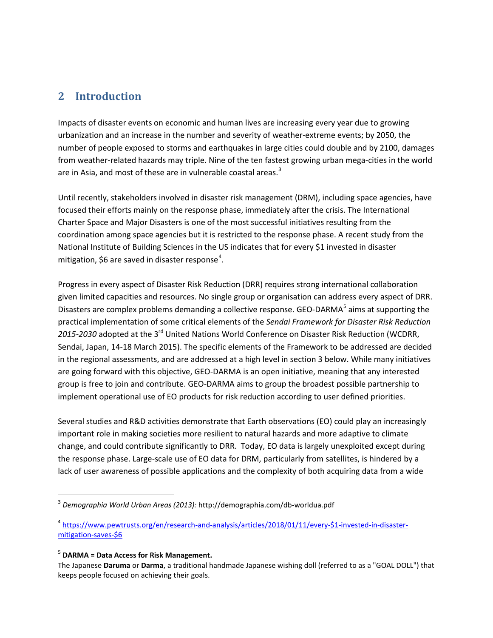# **2 Introduction**

Impacts of disaster events on economic and human lives are increasing every year due to growing urbanization and an increase in the number and severity of weather-extreme events; by 2050, the number of people exposed to storms and earthquakes in large cities could double and by 2100, damages from weather-related hazards may triple. Nine of the ten fastest growing urban mega-cities in the world are in Asia, and most of these are in vulnerable coastal areas.<sup>[3](#page-3-0)</sup>

Until recently, stakeholders involved in disaster risk management (DRM), including space agencies, have focused their efforts mainly on the response phase, immediately after the crisis. The International Charter Space and Major Disasters is one of the most successful initiatives resulting from the coordination among space agencies but it is restricted to the response phase. A recent study from the National Institute of Building Sciences in the US indicates that for every \$1 invested in disaster mitigation, \$6 are saved in disaster response<sup>[4](#page-3-1)</sup>.

Progress in every aspect of Disaster Risk Reduction (DRR) requires strong international collaboration given limited capacities and resources. No single group or organisation can address every aspect of DRR. Disasters are complex problems demanding a collective response. GEO-DARMA<sup>[5](#page-3-2)</sup> aims at supporting the practical implementation of some critical elements of the *Sendai Framework for Disaster Risk Reduction 2015-2030* adopted at the 3rd United Nations World Conference on Disaster Risk Reduction (WCDRR, Sendai, Japan, 14-18 March 2015). The specific elements of the Framework to be addressed are decided in the regional assessments, and are addressed at a high level in section 3 below. While many initiatives are going forward with this objective, GEO-DARMA is an open initiative, meaning that any interested group is free to join and contribute. GEO-DARMA aims to group the broadest possible partnership to implement operational use of EO products for risk reduction according to user defined priorities.

Several studies and R&D activities demonstrate that Earth observations (EO) could play an increasingly important role in making societies more resilient to natural hazards and more adaptive to climate change, and could contribute significantly to DRR. Today, EO data is largely unexploited except during the response phase. Large-scale use of EO data for DRM, particularly from satellites, is hindered by a lack of user awareness of possible applications and the complexity of both acquiring data from a wide

#### <span id="page-3-2"></span><sup>5</sup> **DARMA = Data Access for Risk Management.**

<span id="page-3-0"></span> <sup>3</sup> *Demographia World Urban Areas (2013):* http://demographia.com/db-worldua.pdf

<span id="page-3-1"></span><sup>4</sup> [https://www.pewtrusts.org/en/research-and-analysis/articles/2018/01/11/every-\\$1-invested-in-disaster](https://www.pewtrusts.org/en/research-and-analysis/articles/2018/01/11/every-$1-invested-in-disaster-mitigation-saves-$6)[mitigation-saves-\\$6](https://www.pewtrusts.org/en/research-and-analysis/articles/2018/01/11/every-$1-invested-in-disaster-mitigation-saves-$6)

The Japanese **Daruma** or **Darma**, a traditional handmade Japanese wishing doll (referred to as a "GOAL DOLL") that keeps people focused on achieving their goals.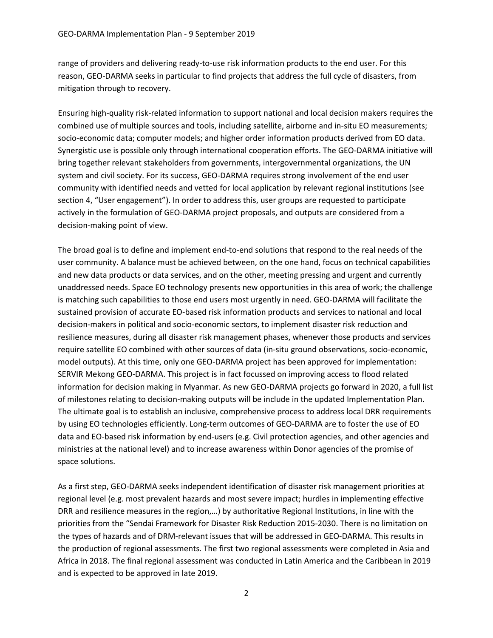range of providers and delivering ready-to-use risk information products to the end user. For this reason, GEO-DARMA seeks in particular to find projects that address the full cycle of disasters, from mitigation through to recovery.

Ensuring high-quality risk-related information to support national and local decision makers requires the combined use of multiple sources and tools, including satellite, airborne and in-situ EO measurements; socio-economic data; computer models; and higher order information products derived from EO data. Synergistic use is possible only through international cooperation efforts. The GEO-DARMA initiative will bring together relevant stakeholders from governments, intergovernmental organizations, the UN system and civil society. For its success, GEO-DARMA requires strong involvement of the end user community with identified needs and vetted for local application by relevant regional institutions (see section 4, "User engagement"). In order to address this, user groups are requested to participate actively in the formulation of GEO-DARMA project proposals, and outputs are considered from a decision-making point of view.

The broad goal is to define and implement end-to-end solutions that respond to the real needs of the user community. A balance must be achieved between, on the one hand, focus on technical capabilities and new data products or data services, and on the other, meeting pressing and urgent and currently unaddressed needs. Space EO technology presents new opportunities in this area of work; the challenge is matching such capabilities to those end users most urgently in need. GEO-DARMA will facilitate the sustained provision of accurate EO-based risk information products and services to national and local decision-makers in political and socio-economic sectors, to implement disaster risk reduction and resilience measures, during all disaster risk management phases, whenever those products and services require satellite EO combined with other sources of data (in-situ ground observations, socio-economic, model outputs). At this time, only one GEO-DARMA project has been approved for implementation: SERVIR Mekong GEO-DARMA. This project is in fact focussed on improving access to flood related information for decision making in Myanmar. As new GEO-DARMA projects go forward in 2020, a full list of milestones relating to decision-making outputs will be include in the updated Implementation Plan. The ultimate goal is to establish an inclusive, comprehensive process to address local DRR requirements by using EO technologies efficiently. Long-term outcomes of GEO-DARMA are to foster the use of EO data and EO-based risk information by end-users (e.g. Civil protection agencies, and other agencies and ministries at the national level) and to increase awareness within Donor agencies of the promise of space solutions.

As a first step, GEO-DARMA seeks independent identification of disaster risk management priorities at regional level (e.g. most prevalent hazards and most severe impact; hurdles in implementing effective DRR and resilience measures in the region,…) by authoritative Regional Institutions, in line with the priorities from the "Sendai Framework for Disaster Risk Reduction 2015-2030. There is no limitation on the types of hazards and of DRM-relevant issues that will be addressed in GEO-DARMA. This results in the production of regional assessments. The first two regional assessments were completed in Asia and Africa in 2018. The final regional assessment was conducted in Latin America and the Caribbean in 2019 and is expected to be approved in late 2019.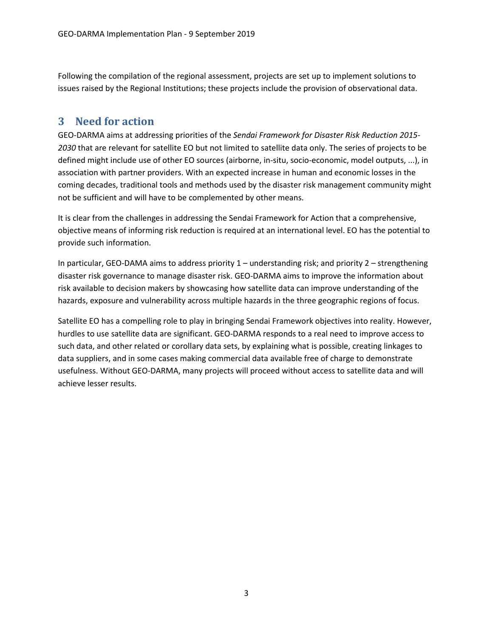Following the compilation of the regional assessment, projects are set up to implement solutions to issues raised by the Regional Institutions; these projects include the provision of observational data.

### **3 Need for action**

GEO-DARMA aims at addressing priorities of the *Sendai Framework for Disaster Risk Reduction 2015- 2030* that are relevant for satellite EO but not limited to satellite data only. The series of projects to be defined might include use of other EO sources (airborne, in-situ, socio-economic, model outputs, ...), in association with partner providers. With an expected increase in human and economic losses in the coming decades, traditional tools and methods used by the disaster risk management community might not be sufficient and will have to be complemented by other means.

It is clear from the challenges in addressing the Sendai Framework for Action that a comprehensive, objective means of informing risk reduction is required at an international level. EO has the potential to provide such information.

In particular, GEO-DAMA aims to address priority 1 – understanding risk; and priority 2 – strengthening disaster risk governance to manage disaster risk. GEO-DARMA aims to improve the information about risk available to decision makers by showcasing how satellite data can improve understanding of the hazards, exposure and vulnerability across multiple hazards in the three geographic regions of focus.

Satellite EO has a compelling role to play in bringing Sendai Framework objectives into reality. However, hurdles to use satellite data are significant. GEO-DARMA responds to a real need to improve access to such data, and other related or corollary data sets, by explaining what is possible, creating linkages to data suppliers, and in some cases making commercial data available free of charge to demonstrate usefulness. Without GEO-DARMA, many projects will proceed without access to satellite data and will achieve lesser results.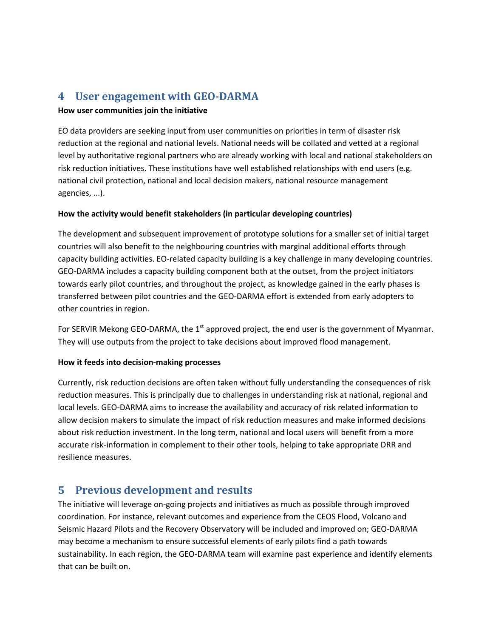# **4 User engagement with GEO-DARMA**

#### **How user communities join the initiative**

EO data providers are seeking input from user communities on priorities in term of disaster risk reduction at the regional and national levels. National needs will be collated and vetted at a regional level by authoritative regional partners who are already working with local and national stakeholders on risk reduction initiatives. These institutions have well established relationships with end users (e.g. national civil protection, national and local decision makers, national resource management agencies, ...).

#### **How the activity would benefit stakeholders (in particular developing countries)**

The development and subsequent improvement of prototype solutions for a smaller set of initial target countries will also benefit to the neighbouring countries with marginal additional efforts through capacity building activities. EO-related capacity building is a key challenge in many developing countries. GEO-DARMA includes a capacity building component both at the outset, from the project initiators towards early pilot countries, and throughout the project, as knowledge gained in the early phases is transferred between pilot countries and the GEO-DARMA effort is extended from early adopters to other countries in region.

For SERVIR Mekong GEO-DARMA, the  $1<sup>st</sup>$  approved project, the end user is the government of Myanmar. They will use outputs from the project to take decisions about improved flood management.

#### **How it feeds into decision-making processes**

Currently, risk reduction decisions are often taken without fully understanding the consequences of risk reduction measures. This is principally due to challenges in understanding risk at national, regional and local levels. GEO-DARMA aims to increase the availability and accuracy of risk related information to allow decision makers to simulate the impact of risk reduction measures and make informed decisions about risk reduction investment. In the long term, national and local users will benefit from a more accurate risk-information in complement to their other tools, helping to take appropriate DRR and resilience measures.

# **5 Previous development and results**

The initiative will leverage on-going projects and initiatives as much as possible through improved coordination. For instance, relevant outcomes and experience from the CEOS Flood, Volcano and Seismic Hazard Pilots and the Recovery Observatory will be included and improved on; GEO-DARMA may become a mechanism to ensure successful elements of early pilots find a path towards sustainability. In each region, the GEO-DARMA team will examine past experience and identify elements that can be built on.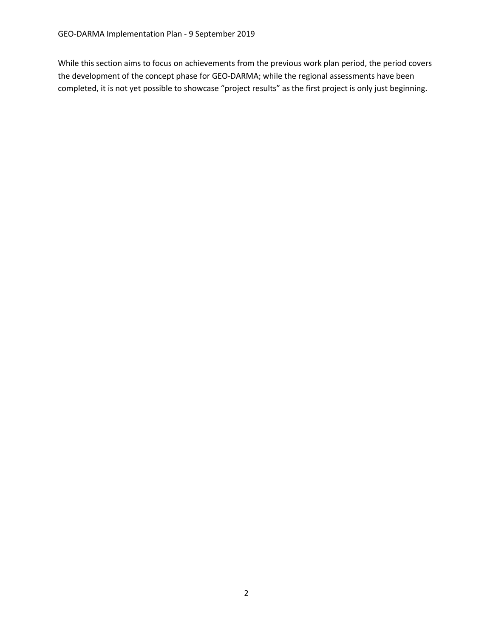While this section aims to focus on achievements from the previous work plan period, the period covers the development of the concept phase for GEO-DARMA; while the regional assessments have been completed, it is not yet possible to showcase "project results" as the first project is only just beginning.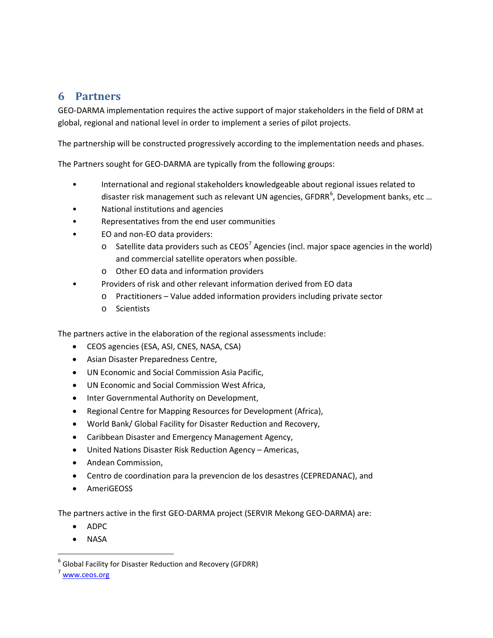### **6 Partners**

GEO-DARMA implementation requires the active support of major stakeholders in the field of DRM at global, regional and national level in order to implement a series of pilot projects.

The partnership will be constructed progressively according to the implementation needs and phases.

The Partners sought for GEO-DARMA are typically from the following groups:

- International and regional stakeholders knowledgeable about regional issues related to disaster risk management such as relevant UN agencies, GFDRR<sup>[6](#page-8-0)</sup>, Development banks, etc ...
- National institutions and agencies
- Representatives from the end user communities
- EO and non-EO data providers:
	- $\circ$  Satellite data providers such as CEOS<sup>[7](#page-8-1)</sup> Agencies (incl. major space agencies in the world) and commercial satellite operators when possible.
	- o Other EO data and information providers
- Providers of risk and other relevant information derived from EO data
	- o Practitioners Value added information providers including private sector
	- o Scientists

The partners active in the elaboration of the regional assessments include:

- CEOS agencies (ESA, ASI, CNES, NASA, CSA)
- Asian Disaster Preparedness Centre,
- UN Economic and Social Commission Asia Pacific,
- UN Economic and Social Commission West Africa,
- Inter Governmental Authority on Development,
- Regional Centre for Mapping Resources for Development (Africa),
- World Bank/ Global Facility for Disaster Reduction and Recovery,
- Caribbean Disaster and Emergency Management Agency,
- United Nations Disaster Risk Reduction Agency Americas,
- Andean Commission,
- Centro de coordination para la prevencion de los desastres (CEPREDANAC), and
- AmeriGEOSS

The partners active in the first GEO-DARMA project (SERVIR Mekong GEO-DARMA) are:

- ADPC
- NASA

<span id="page-8-0"></span> $6$  Global Facility for Disaster Reduction and Recovery (GFDRR)

<span id="page-8-1"></span><sup>7</sup> [www.ceos.org](http://www.ceos.org/)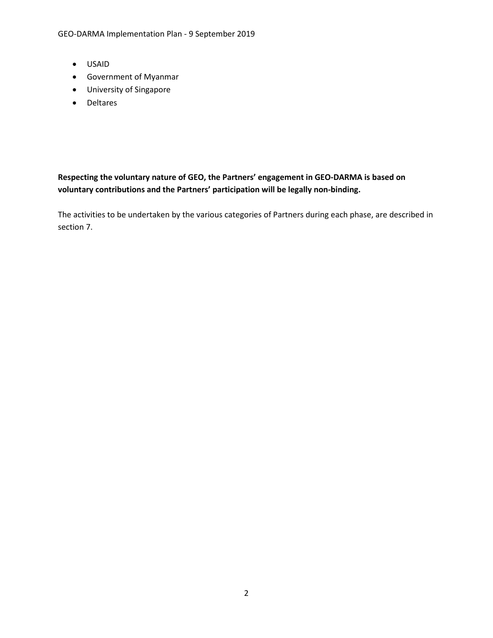- USAID
- Government of Myanmar
- University of Singapore
- Deltares

#### **Respecting the voluntary nature of GEO, the Partners' engagement in GEO-DARMA is based on voluntary contributions and the Partners' participation will be legally non-binding.**

The activities to be undertaken by the various categories of Partners during each phase, are described in section 7.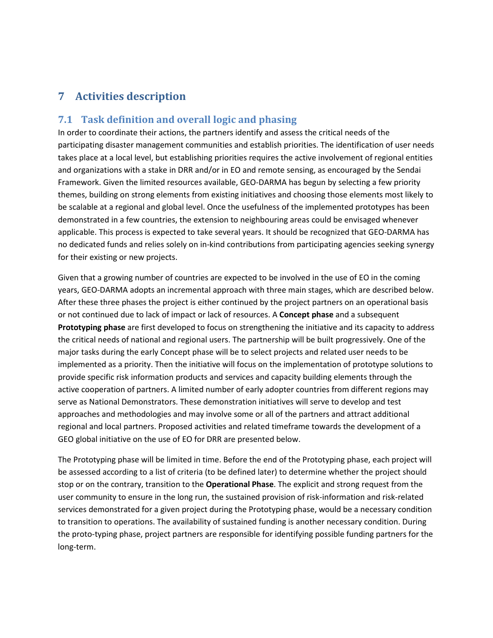# **7 Activities description**

#### **7.1 Task definition and overall logic and phasing**

In order to coordinate their actions, the partners identify and assess the critical needs of the participating disaster management communities and establish priorities. The identification of user needs takes place at a local level, but establishing priorities requires the active involvement of regional entities and organizations with a stake in DRR and/or in EO and remote sensing, as encouraged by the Sendai Framework. Given the limited resources available, GEO-DARMA has begun by selecting a few priority themes, building on strong elements from existing initiatives and choosing those elements most likely to be scalable at a regional and global level. Once the usefulness of the implemented prototypes has been demonstrated in a few countries, the extension to neighbouring areas could be envisaged whenever applicable. This process is expected to take several years. It should be recognized that GEO-DARMA has no dedicated funds and relies solely on in-kind contributions from participating agencies seeking synergy for their existing or new projects.

Given that a growing number of countries are expected to be involved in the use of EO in the coming years, GEO-DARMA adopts an incremental approach with three main stages, which are described below. After these three phases the project is either continued by the project partners on an operational basis or not continued due to lack of impact or lack of resources. A **Concept phase** and a subsequent **Prototyping phase** are first developed to focus on strengthening the initiative and its capacity to address the critical needs of national and regional users. The partnership will be built progressively. One of the major tasks during the early Concept phase will be to select projects and related user needs to be implemented as a priority. Then the initiative will focus on the implementation of prototype solutions to provide specific risk information products and services and capacity building elements through the active cooperation of partners. A limited number of early adopter countries from different regions may serve as National Demonstrators. These demonstration initiatives will serve to develop and test approaches and methodologies and may involve some or all of the partners and attract additional regional and local partners. Proposed activities and related timeframe towards the development of a GEO global initiative on the use of EO for DRR are presented below.

The Prototyping phase will be limited in time. Before the end of the Prototyping phase, each project will be assessed according to a list of criteria (to be defined later) to determine whether the project should stop or on the contrary, transition to the **Operational Phase**. The explicit and strong request from the user community to ensure in the long run, the sustained provision of risk-information and risk-related services demonstrated for a given project during the Prototyping phase, would be a necessary condition to transition to operations. The availability of sustained funding is another necessary condition. During the proto-typing phase, project partners are responsible for identifying possible funding partners for the long-term.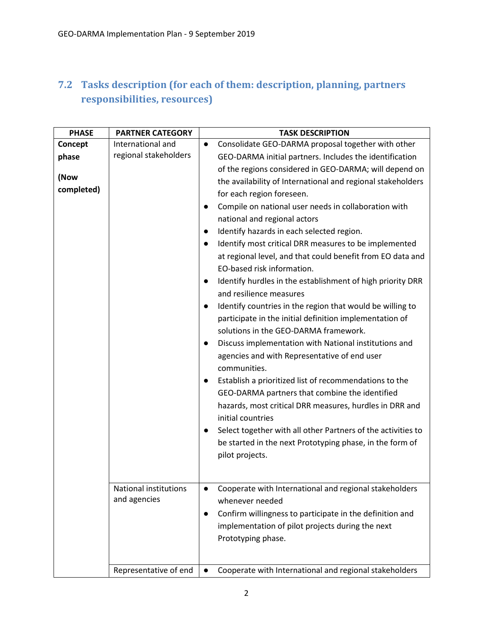# **7.2 Tasks description (for each of them: description, planning, partners responsibilities, resources)**

| <b>PHASE</b> | <b>PARTNER CATEGORY</b> | <b>TASK DESCRIPTION</b>                                                   |
|--------------|-------------------------|---------------------------------------------------------------------------|
| Concept      | International and       | Consolidate GEO-DARMA proposal together with other<br>$\bullet$           |
| phase        | regional stakeholders   | GEO-DARMA initial partners. Includes the identification                   |
|              |                         | of the regions considered in GEO-DARMA; will depend on                    |
| (Now         |                         | the availability of International and regional stakeholders               |
| completed)   |                         | for each region foreseen.                                                 |
|              |                         | Compile on national user needs in collaboration with<br>$\bullet$         |
|              |                         | national and regional actors                                              |
|              |                         | Identify hazards in each selected region.<br>$\bullet$                    |
|              |                         | Identify most critical DRR measures to be implemented<br>$\bullet$        |
|              |                         | at regional level, and that could benefit from EO data and                |
|              |                         | EO-based risk information.                                                |
|              |                         | Identify hurdles in the establishment of high priority DRR<br>$\bullet$   |
|              |                         | and resilience measures                                                   |
|              |                         | Identify countries in the region that would be willing to<br>$\bullet$    |
|              |                         | participate in the initial definition implementation of                   |
|              |                         | solutions in the GEO-DARMA framework.                                     |
|              |                         | Discuss implementation with National institutions and<br>$\bullet$        |
|              |                         | agencies and with Representative of end user                              |
|              |                         | communities.                                                              |
|              |                         | Establish a prioritized list of recommendations to the                    |
|              |                         | GEO-DARMA partners that combine the identified                            |
|              |                         | hazards, most critical DRR measures, hurdles in DRR and                   |
|              |                         | initial countries                                                         |
|              |                         | Select together with all other Partners of the activities to<br>$\bullet$ |
|              |                         | be started in the next Prototyping phase, in the form of                  |
|              |                         | pilot projects.                                                           |
|              |                         |                                                                           |
|              |                         |                                                                           |
|              | National institutions   | Cooperate with International and regional stakeholders                    |
|              | and agencies            | whenever needed                                                           |
|              |                         | Confirm willingness to participate in the definition and<br>$\bullet$     |
|              |                         | implementation of pilot projects during the next                          |
|              |                         | Prototyping phase.                                                        |
|              |                         |                                                                           |
|              | Representative of end   | Cooperate with International and regional stakeholders<br>$\bullet$       |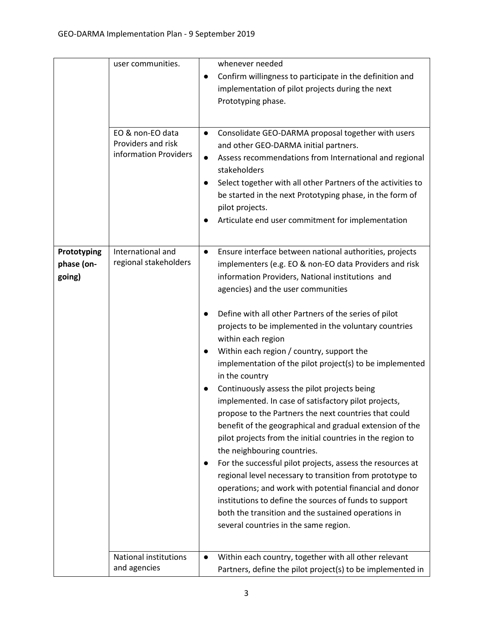|                                     | user communities.<br>EO & non-EO data<br>Providers and risk<br>information Providers | whenever needed<br>Confirm willingness to participate in the definition and<br>$\bullet$<br>implementation of pilot projects during the next<br>Prototyping phase.<br>Consolidate GEO-DARMA proposal together with users<br>$\bullet$<br>and other GEO-DARMA initial partners.<br>Assess recommendations from International and regional<br>$\bullet$<br>stakeholders<br>Select together with all other Partners of the activities to<br>$\bullet$<br>be started in the next Prototyping phase, in the form of<br>pilot projects.<br>Articulate end user commitment for implementation<br>$\bullet$                                                                                                                                                                                                                                                                                                                                                                                                                                                                                                                                                                                                                                                                                            |
|-------------------------------------|--------------------------------------------------------------------------------------|------------------------------------------------------------------------------------------------------------------------------------------------------------------------------------------------------------------------------------------------------------------------------------------------------------------------------------------------------------------------------------------------------------------------------------------------------------------------------------------------------------------------------------------------------------------------------------------------------------------------------------------------------------------------------------------------------------------------------------------------------------------------------------------------------------------------------------------------------------------------------------------------------------------------------------------------------------------------------------------------------------------------------------------------------------------------------------------------------------------------------------------------------------------------------------------------------------------------------------------------------------------------------------------------|
| Prototyping<br>phase (on-<br>going) | International and<br>regional stakeholders<br><b>National institutions</b>           | Ensure interface between national authorities, projects<br>$\bullet$<br>implementers (e.g. EO & non-EO data Providers and risk<br>information Providers, National institutions and<br>agencies) and the user communities<br>Define with all other Partners of the series of pilot<br>$\bullet$<br>projects to be implemented in the voluntary countries<br>within each region<br>Within each region / country, support the<br>$\bullet$<br>implementation of the pilot project(s) to be implemented<br>in the country<br>Continuously assess the pilot projects being<br>$\bullet$<br>implemented. In case of satisfactory pilot projects,<br>propose to the Partners the next countries that could<br>benefit of the geographical and gradual extension of the<br>pilot projects from the initial countries in the region to<br>the neighbouring countries.<br>For the successful pilot projects, assess the resources at<br>$\bullet$<br>regional level necessary to transition from prototype to<br>operations; and work with potential financial and donor<br>institutions to define the sources of funds to support<br>both the transition and the sustained operations in<br>several countries in the same region.<br>Within each country, together with all other relevant<br>$\bullet$ |
|                                     | and agencies                                                                         | Partners, define the pilot project(s) to be implemented in                                                                                                                                                                                                                                                                                                                                                                                                                                                                                                                                                                                                                                                                                                                                                                                                                                                                                                                                                                                                                                                                                                                                                                                                                                     |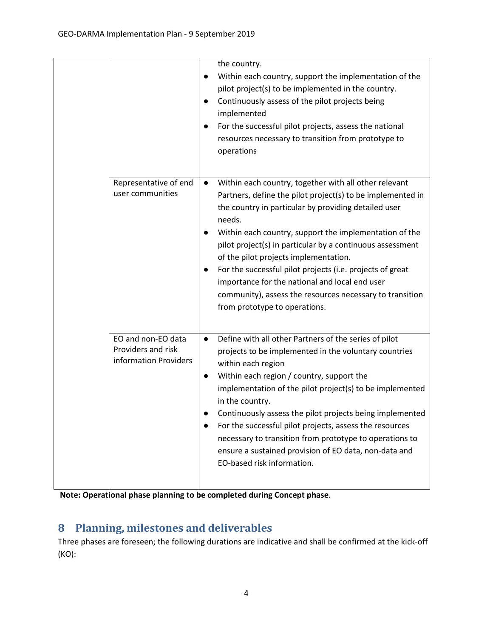|                                                                   | the country.<br>Within each country, support the implementation of the<br>pilot project(s) to be implemented in the country.<br>Continuously assess of the pilot projects being<br>$\bullet$<br>implemented<br>For the successful pilot projects, assess the national<br>resources necessary to transition from prototype to<br>operations                                                                                                                                                                                                                                     |
|-------------------------------------------------------------------|--------------------------------------------------------------------------------------------------------------------------------------------------------------------------------------------------------------------------------------------------------------------------------------------------------------------------------------------------------------------------------------------------------------------------------------------------------------------------------------------------------------------------------------------------------------------------------|
| Representative of end<br>user communities                         | Within each country, together with all other relevant<br>$\bullet$<br>Partners, define the pilot project(s) to be implemented in<br>the country in particular by providing detailed user<br>needs.<br>Within each country, support the implementation of the<br>pilot project(s) in particular by a continuous assessment<br>of the pilot projects implementation.<br>For the successful pilot projects (i.e. projects of great<br>importance for the national and local end user<br>community), assess the resources necessary to transition<br>from prototype to operations. |
| EO and non-EO data<br>Providers and risk<br>information Providers | Define with all other Partners of the series of pilot<br>$\bullet$<br>projects to be implemented in the voluntary countries<br>within each region<br>Within each region / country, support the<br>$\bullet$<br>implementation of the pilot project(s) to be implemented<br>in the country.<br>Continuously assess the pilot projects being implemented<br>For the successful pilot projects, assess the resources<br>necessary to transition from prototype to operations to<br>ensure a sustained provision of EO data, non-data and<br>EO-based risk information.            |

**Note: Operational phase planning to be completed during Concept phase**.

# **8 Planning, milestones and deliverables**

Three phases are foreseen; the following durations are indicative and shall be confirmed at the kick-off (KO):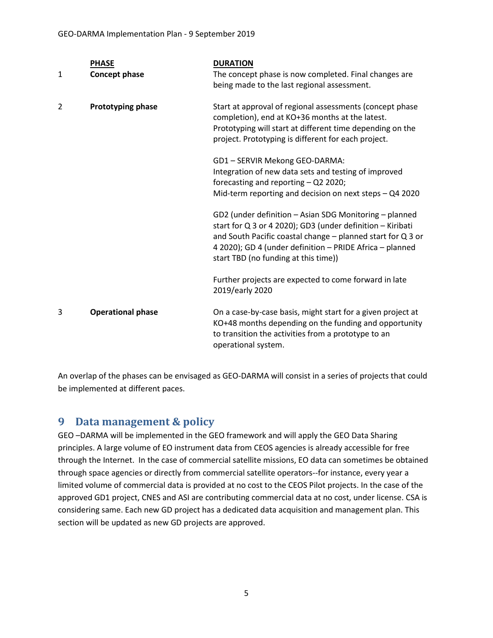|                | <b>PHASE</b>             | <b>DURATION</b>                                                                                                                                                                                                                                                                         |
|----------------|--------------------------|-----------------------------------------------------------------------------------------------------------------------------------------------------------------------------------------------------------------------------------------------------------------------------------------|
| 1              | <b>Concept phase</b>     | The concept phase is now completed. Final changes are                                                                                                                                                                                                                                   |
|                |                          | being made to the last regional assessment.                                                                                                                                                                                                                                             |
| $\overline{2}$ | Prototyping phase        | Start at approval of regional assessments (concept phase<br>completion), end at KO+36 months at the latest.                                                                                                                                                                             |
|                |                          | Prototyping will start at different time depending on the<br>project. Prototyping is different for each project.                                                                                                                                                                        |
|                |                          | GD1-SERVIR Mekong GEO-DARMA:                                                                                                                                                                                                                                                            |
|                |                          | Integration of new data sets and testing of improved<br>forecasting and reporting - Q2 2020;                                                                                                                                                                                            |
|                |                          | Mid-term reporting and decision on next steps - Q4 2020                                                                                                                                                                                                                                 |
|                |                          | GD2 (under definition - Asian SDG Monitoring - planned<br>start for Q 3 or 4 2020); GD3 (under definition - Kiribati<br>and South Pacific coastal change - planned start for Q 3 or<br>4 2020); GD 4 (under definition - PRIDE Africa - planned<br>start TBD (no funding at this time)) |
|                |                          | Further projects are expected to come forward in late<br>2019/early 2020                                                                                                                                                                                                                |
| 3              | <b>Operational phase</b> | On a case-by-case basis, might start for a given project at<br>KO+48 months depending on the funding and opportunity<br>to transition the activities from a prototype to an<br>operational system.                                                                                      |

An overlap of the phases can be envisaged as GEO-DARMA will consist in a series of projects that could be implemented at different paces.

# **9 Data management & policy**

GEO –DARMA will be implemented in the GEO framework and will apply the GEO Data Sharing principles. A large volume of EO instrument data from CEOS agencies is already accessible for free through the Internet. In the case of commercial satellite missions, EO data can sometimes be obtained through space agencies or directly from commercial satellite operators--for instance, every year a limited volume of commercial data is provided at no cost to the CEOS Pilot projects. In the case of the approved GD1 project, CNES and ASI are contributing commercial data at no cost, under license. CSA is considering same. Each new GD project has a dedicated data acquisition and management plan. This section will be updated as new GD projects are approved.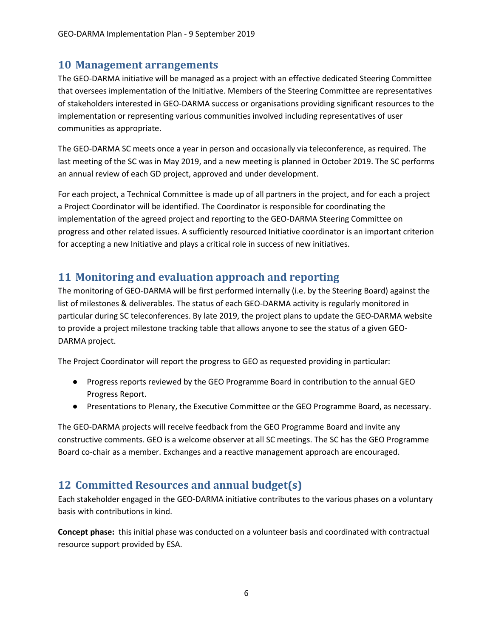#### **10 Management arrangements**

The GEO-DARMA initiative will be managed as a project with an effective dedicated Steering Committee that oversees implementation of the Initiative. Members of the Steering Committee are representatives of stakeholders interested in GEO-DARMA success or organisations providing significant resources to the implementation or representing various communities involved including representatives of user communities as appropriate.

The GEO-DARMA SC meets once a year in person and occasionally via teleconference, as required. The last meeting of the SC was in May 2019, and a new meeting is planned in October 2019. The SC performs an annual review of each GD project, approved and under development.

For each project, a Technical Committee is made up of all partners in the project, and for each a project a Project Coordinator will be identified. The Coordinator is responsible for coordinating the implementation of the agreed project and reporting to the GEO-DARMA Steering Committee on progress and other related issues. A sufficiently resourced Initiative coordinator is an important criterion for accepting a new Initiative and plays a critical role in success of new initiatives.

### **11 Monitoring and evaluation approach and reporting**

The monitoring of GEO-DARMA will be first performed internally (i.e. by the Steering Board) against the list of milestones & deliverables. The status of each GEO-DARMA activity is regularly monitored in particular during SC teleconferences. By late 2019, the project plans to update the GEO-DARMA website to provide a project milestone tracking table that allows anyone to see the status of a given GEO-DARMA project.

The Project Coordinator will report the progress to GEO as requested providing in particular:

- Progress reports reviewed by the GEO Programme Board in contribution to the annual GEO Progress Report.
- Presentations to Plenary, the Executive Committee or the GEO Programme Board, as necessary.

The GEO-DARMA projects will receive feedback from the GEO Programme Board and invite any constructive comments. GEO is a welcome observer at all SC meetings. The SC has the GEO Programme Board co-chair as a member. Exchanges and a reactive management approach are encouraged.

### **12 Committed Resources and annual budget(s)**

Each stakeholder engaged in the GEO-DARMA initiative contributes to the various phases on a voluntary basis with contributions in kind.

**Concept phase:** this initial phase was conducted on a volunteer basis and coordinated with contractual resource support provided by ESA.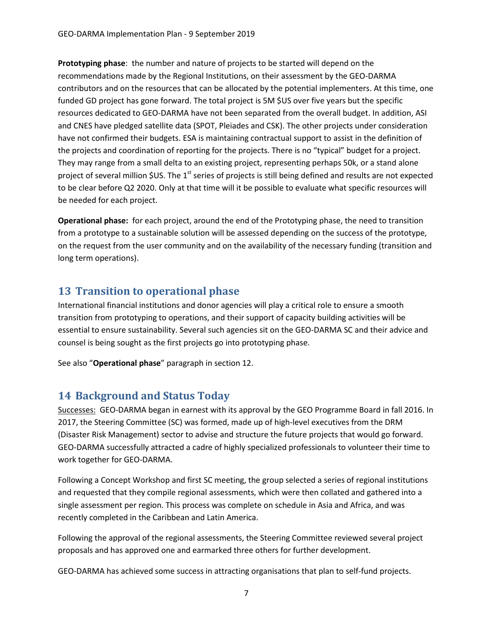**Prototyping phase**: the number and nature of projects to be started will depend on the recommendations made by the Regional Institutions, on their assessment by the GEO-DARMA contributors and on the resources that can be allocated by the potential implementers. At this time, one funded GD project has gone forward. The total project is 5M \$US over five years but the specific resources dedicated to GEO-DARMA have not been separated from the overall budget. In addition, ASI and CNES have pledged satellite data (SPOT, Pleiades and CSK). The other projects under consideration have not confirmed their budgets. ESA is maintaining contractual support to assist in the definition of the projects and coordination of reporting for the projects. There is no "typical" budget for a project. They may range from a small delta to an existing project, representing perhaps 50k, or a stand alone project of several million  $$US$ . The 1<sup>st</sup> series of projects is still being defined and results are not expected to be clear before Q2 2020. Only at that time will it be possible to evaluate what specific resources will be needed for each project.

**Operational phase:** for each project, around the end of the Prototyping phase, the need to transition from a prototype to a sustainable solution will be assessed depending on the success of the prototype, on the request from the user community and on the availability of the necessary funding (transition and long term operations).

# **13 Transition to operational phase**

International financial institutions and donor agencies will play a critical role to ensure a smooth transition from prototyping to operations, and their support of capacity building activities will be essential to ensure sustainability. Several such agencies sit on the GEO-DARMA SC and their advice and counsel is being sought as the first projects go into prototyping phase.

See also "**Operational phase**" paragraph in section 12.

### **14 Background and Status Today**

Successes: GEO-DARMA began in earnest with its approval by the GEO Programme Board in fall 2016. In 2017, the Steering Committee (SC) was formed, made up of high-level executives from the DRM (Disaster Risk Management) sector to advise and structure the future projects that would go forward. GEO-DARMA successfully attracted a cadre of highly specialized professionals to volunteer their time to work together for GEO-DARMA.

Following a Concept Workshop and first SC meeting, the group selected a series of regional institutions and requested that they compile regional assessments, which were then collated and gathered into a single assessment per region. This process was complete on schedule in Asia and Africa, and was recently completed in the Caribbean and Latin America.

Following the approval of the regional assessments, the Steering Committee reviewed several project proposals and has approved one and earmarked three others for further development.

GEO-DARMA has achieved some success in attracting organisations that plan to self-fund projects.